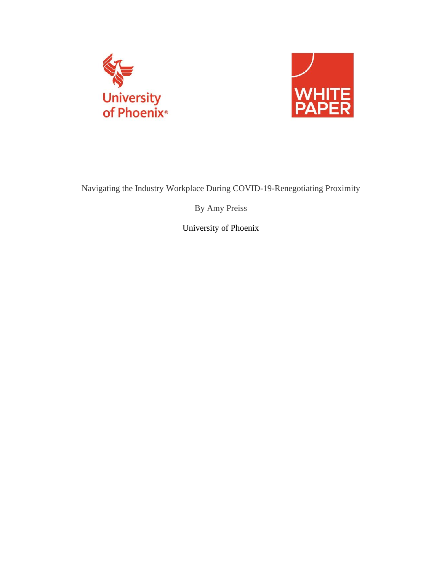



Navigating the Industry Workplace During COVID-19-Renegotiating Proximity

By Amy Preiss

University of Phoenix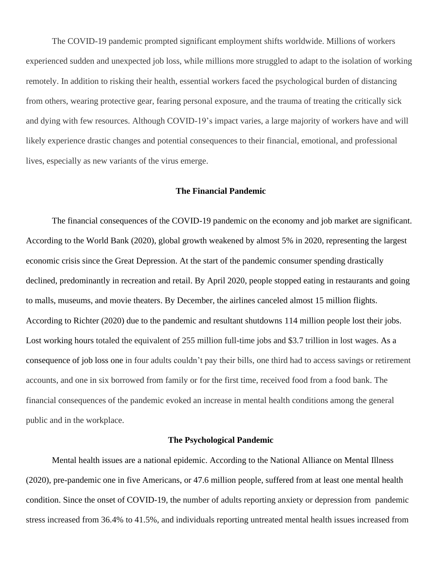The COVID-19 pandemic prompted significant employment shifts worldwide. Millions of workers experienced sudden and unexpected job loss, while millions more struggled to adapt to the isolation of working remotely. In addition to risking their health, essential workers faced the psychological burden of distancing from others, wearing protective gear, fearing personal exposure, and the trauma of treating the critically sick and dying with few resources. Although COVID-19's impact varies, a large majority of workers have and will likely experience drastic changes and potential consequences to their financial, emotional, and professional lives, especially as new variants of the virus emerge.

#### **The Financial Pandemic**

The financial consequences of the COVID-19 pandemic on the economy and job market are significant. According to the World Bank (2020), global growth weakened by almost 5% in 2020, representing the largest economic crisis since the Great Depression. At the start of the pandemic consumer spending drastically declined, predominantly in recreation and retail. By April 2020, people stopped eating in restaurants and going to malls, museums, and movie theaters. By December, the airlines canceled almost 15 million flights. According to Richter (2020) due to the pandemic and resultant shutdowns 114 million people lost their jobs. Lost working hours totaled the equivalent of 255 million full-time jobs and \$3.7 trillion in lost wages. As a consequence of job loss one in four adults couldn't pay their bills, one third had to access savings or retirement accounts, and one in six borrowed from family or for the first time, received food from a food bank. The financial consequences of the pandemic evoked an increase in mental health conditions among the general public and in the workplace.

# **The Psychological Pandemic**

Mental health issues are a national epidemic. According to the National Alliance on Mental Illness (2020), pre-pandemic one in five Americans, or 47.6 million people, suffered from at least one mental health condition. Since the onset of COVID-19, the number of adults reporting anxiety or depression from pandemic stress increased from 36.4% to 41.5%, and individuals reporting untreated mental health issues increased from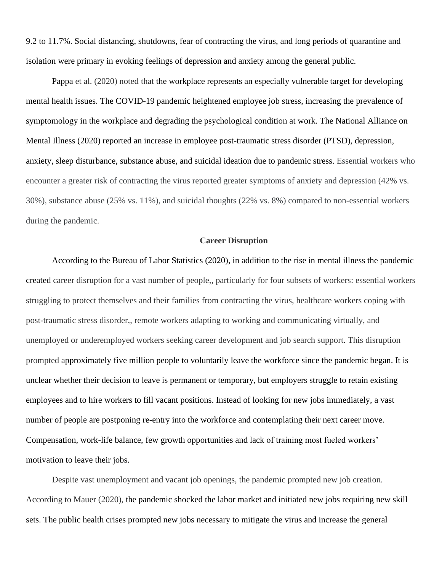9.2 to 11.7%. Social distancing, shutdowns, fear of contracting the virus, and long periods of quarantine and isolation were primary in evoking feelings of depression and anxiety among the general public.

Pappa et al. (2020) noted that the workplace represents an especially vulnerable target for developing mental health issues. The COVID-19 pandemic heightened employee job stress, increasing the prevalence of symptomology in the workplace and degrading the psychological condition at work. The National Alliance on Mental Illness (2020) reported an increase in employee post-traumatic stress disorder (PTSD), depression, anxiety, sleep disturbance, substance abuse, and suicidal ideation due to pandemic stress. Essential workers who encounter a greater risk of contracting the virus reported greater symptoms of anxiety and depression (42% vs. 30%), substance abuse (25% vs. 11%), and suicidal thoughts (22% vs. 8%) compared to non-essential workers during the pandemic.

## **Career Disruption**

According to the Bureau of Labor Statistics (2020), in addition to the rise in mental illness the pandemic created career disruption for a vast number of people,, particularly for four subsets of workers: essential workers struggling to protect themselves and their families from contracting the virus, healthcare workers coping with post-traumatic stress disorder,, remote workers adapting to working and communicating virtually, and unemployed or underemployed workers seeking career development and job search support. This disruption prompted approximately five million people to voluntarily leave the workforce since the pandemic began. It is unclear whether their decision to leave is permanent or temporary, but employers struggle to retain existing employees and to hire workers to fill vacant positions. Instead of looking for new jobs immediately, a vast number of people are postponing re-entry into the workforce and contemplating their next career move. Compensation, work-life balance, few growth opportunities and lack of training most fueled workers' motivation to leave their jobs.

Despite vast unemployment and vacant job openings, the pandemic prompted new job creation. According to Mauer (2020), the pandemic shocked the labor market and initiated new jobs requiring new skill sets. The public health crises prompted new jobs necessary to mitigate the virus and increase the general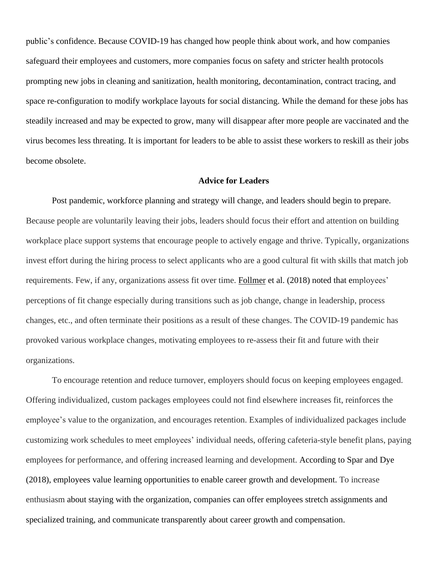public's confidence. Because COVID-19 has changed how people think about work, and how companies safeguard their employees and customers, more companies focus on safety and stricter health protocols prompting new jobs in cleaning and sanitization, health monitoring, decontamination, contract tracing, and space re-configuration to modify workplace layouts for social distancing. While the demand for these jobs has steadily increased and may be expected to grow, many will disappear after more people are vaccinated and the virus becomes less threating. It is important for leaders to be able to assist these workers to reskill as their jobs become obsolete.

## **Advice for Leaders**

Post pandemic, workforce planning and strategy will change, and leaders should begin to prepare. Because people are voluntarily leaving their jobs, leaders should focus their effort and attention on building workplace place support systems that encourage people to actively engage and thrive. Typically, organizations invest effort during the hiring process to select applicants who are a good cultural fit with skills that match job requirements. Few, if any, organizations assess fit over time. [Follmer](https://journals.aom.org/doi/abs/10.5465/amj.2014.0566) et al. (2018) noted that employees' perceptions of fit change especially during transitions such as job change, change in leadership, process changes, etc., and often terminate their positions as a result of these changes. The COVID-19 pandemic has provoked various workplace changes, motivating employees to re-assess their fit and future with their organizations.

To encourage retention and reduce turnover, employers should focus on keeping employees engaged. Offering individualized, custom packages employees could not find elsewhere increases fit, reinforces the employee's value to the organization, and encourages retention. Examples of individualized packages include customizing work schedules to meet employees' individual needs, offering cafeteria-style benefit plans, paying employees for performance, and offering increased learning and development. According to Spar and Dye (2018), employees value learning opportunities to enable career growth and development. To increase enthusiasm about staying with the organization, companies can offer employees stretch assignments and specialized training, and communicate transparently about career growth and compensation.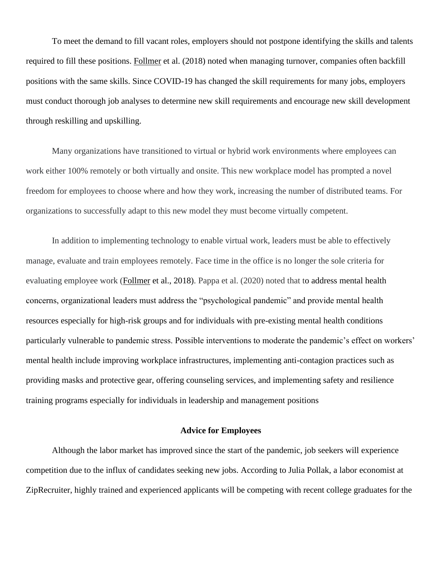To meet the demand to fill vacant roles, employers should not postpone identifying the skills and talents required to fill these positions. [Follmer](https://journals.aom.org/doi/abs/10.5465/amj.2014.0566) et al. (2018) noted when managing turnover, companies often backfill positions with the same skills. Since COVID-19 has changed the skill requirements for many jobs, employers must conduct thorough job analyses to determine new skill requirements and encourage new skill development through reskilling and upskilling.

Many organizations have transitioned to virtual or hybrid work environments where employees can work either 100% remotely or both virtually and onsite. This new workplace model has prompted a novel freedom for employees to choose where and how they work, increasing the number of distributed teams. For organizations to successfully adapt to this new model they must become virtually competent.

In addition to implementing technology to enable virtual work, leaders must be able to effectively manage, evaluate and train employees remotely. Face time in the office is no longer the sole criteria for evaluating employee work [\(Follmer](https://journals.aom.org/doi/abs/10.5465/amj.2014.0566) et al., 2018). Pappa et al. (2020) noted that to address mental health concerns, organizational leaders must address the "psychological pandemic" and provide mental health resources especially for high-risk groups and for individuals with pre-existing mental health conditions particularly vulnerable to pandemic stress. Possible interventions to moderate the pandemic's effect on workers' mental health include improving workplace infrastructures, implementing anti-contagion practices such as providing masks and protective gear, offering counseling services, and implementing safety and resilience training programs especially for individuals in leadership and management positions

#### **Advice for Employees**

Although the labor market has improved since the start of the pandemic, job seekers will experience competition due to the influx of candidates seeking new jobs. According to Julia Pollak, a labor economist at ZipRecruiter, highly trained and experienced applicants will be competing with recent college graduates for the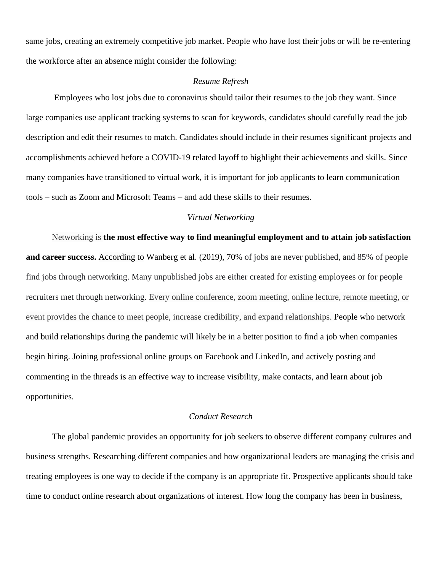same jobs, creating an extremely competitive job market. People who have lost their jobs or will be re-entering the workforce after an absence might consider the following:

## *Resume Refresh*

Employees who lost jobs due to coronavirus should tailor their resumes to the job they want. Since large companies use applicant tracking systems to scan for keywords, candidates should carefully read the job description and edit their resumes to match. Candidates should include in their resumes significant projects and accomplishments achieved before a COVID-19 related layoff to highlight their achievements and skills. Since many companies have transitioned to virtual work, it is important for job applicants to learn communication tools – such as Zoom and Microsoft Teams – and add these skills to their resumes.

#### *Virtual Networking*

Networking is **the most effective way to find meaningful employment and to attain job satisfaction and career success.** According to [Wanberg](https://onlinelibrary.wiley.com/action/doSearch?ContribAuthorRaw=Wanberg%2C+Connie+R) et al. [\(2019\),](https://onlinelibrary.wiley.com/action/doSearch?ContribAuthorRaw=Csillag%2C+Borbala) 70% of jobs are never published, and 85% of people find jobs through networking. Many unpublished jobs are either created for existing employees or for people recruiters met through networking. Every online conference, zoom meeting, online lecture, remote meeting, or event provides the chance to meet people, increase credibility, and expand relationships. People who network and build relationships during the pandemic will likely be in a better position to find a job when companies begin hiring. Joining professional online groups on Facebook and LinkedIn, and actively posting and commenting in the threads is an effective way to increase visibility, make contacts, and learn about job opportunities.

## *Conduct Research*

The global pandemic provides an opportunity for job seekers to observe different company cultures and business strengths. Researching different companies and how organizational leaders are managing the crisis and treating employees is one way to decide if the company is an appropriate fit. Prospective applicants should take time to conduct online research about organizations of interest. How long the company has been in business,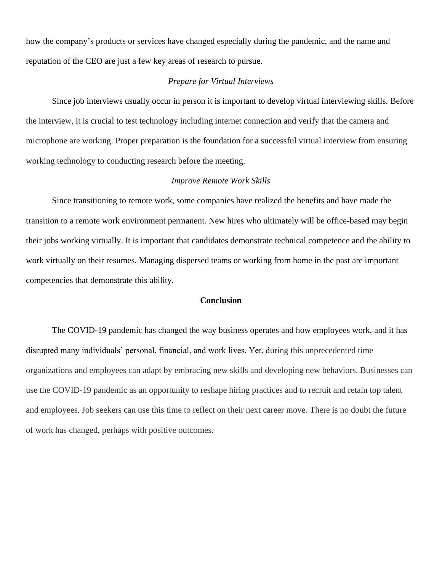how the company's products or services have changed especially during the pandemic, and the name and reputation of the CEO are just a few key areas of research to pursue.

# *Prepare for Virtual Interviews*

Since job interviews usually occur in person it is important to develop virtual interviewing skills. Before the interview, it is crucial to test technology including internet connection and verify that the camera and microphone are working. Proper preparation is the foundation for a successful virtual interview from ensuring working technology to conducting research before the meeting.

# *Improve Remote Work Skills*

Since transitioning to remote work, some companies have realized the benefits and have made the transition to a remote work environment permanent. New hires who ultimately will be office-based may begin their jobs working virtually. It is important that candidates demonstrate technical competence and the ability to work virtually on their resumes. Managing dispersed teams or working from home in the past are important competencies that demonstrate this ability.

# **Conclusion**

The COVID-19 pandemic has changed the way business operates and how employees work, and it has disrupted many individuals' personal, financial, and work lives. Yet, during this unprecedented time organizations and employees can adapt by embracing new skills and developing new behaviors. Businesses can use the COVID-19 pandemic as an opportunity to reshape hiring practices and to recruit and retain top talent and employees. Job seekers can use this time to reflect on their next career move. There is no doubt the future of work has changed, perhaps with positive outcomes.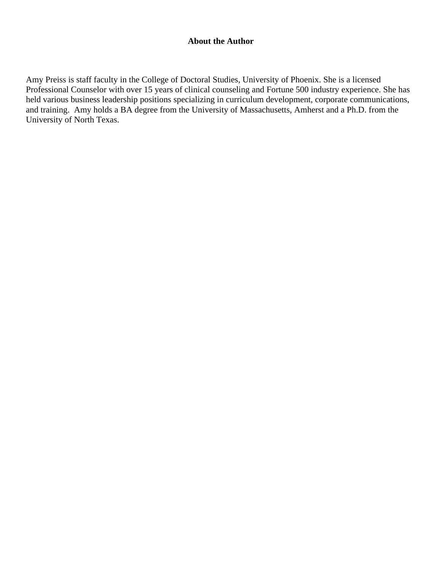# **About the Author**

Amy Preiss is staff faculty in the College of Doctoral Studies, University of Phoenix. She is a licensed Professional Counselor with over 15 years of clinical counseling and Fortune 500 industry experience. She has held various business leadership positions specializing in curriculum development, corporate communications, and training. Amy holds a BA degree from the University of Massachusetts, Amherst and a Ph.D. from the University of North Texas.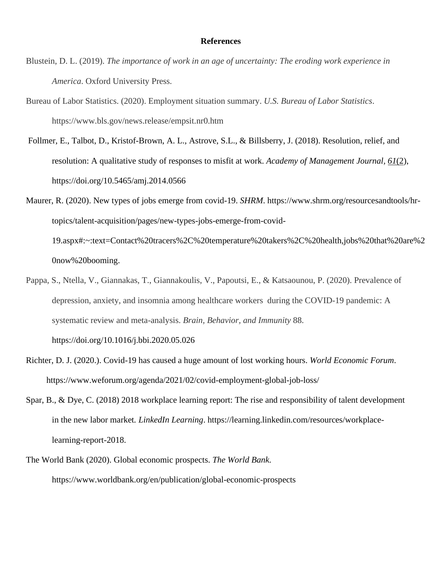## **References**

- Blustein, D. L. (2019). *The importance of work in an age of uncertainty: The eroding work experience in America*. Oxford University Press.
- Bureau of Labor Statistics. (2020). Employment situation summary. *U.S. Bureau of Labor Statistics*. https://www.bls.gov/news.release/empsit.nr0.htm
- Follmer, E., Talbot, D., Kristof-Brown, A. L., Astrove, S.L., & Billsberry, J. (2018). Resolution, relief, and resolution: A qualitative study of responses to misfit at work. *Academy of Management Journal, [61](https://journals.aom.org/toc/amj/61/2)*(2), <https://doi.org/10.5465/amj.2014.0566>
- Maurer, R. (2020). New types of jobs emerge from covid-19. *SHRM*. https://www.shrm.org/resourcesandtools/hrtopics/talent-acquisition/pages/new-types-jobs-emerge-from-covid-19.aspx#:~:text=Contact%20tracers%2C%20temperature%20takers%2C%20health,jobs%20that%20are%2 0now%20booming.
- Pappa, S., Ntella, V., Giannakas, T., Giannakoulis, V., Papoutsi, E., & Katsaounou, P. (2020). Prevalence of depression, anxiety, and insomnia among healthcare workers during the COVID-19 pandemic: A systematic review and meta-analysis. *Brain, Behavior, and Immunity* 88. https://doi.org/10.1016/j.bbi.2020.05.026
- Richter, D. J. (2020.). Covid-19 has caused a huge amount of lost working hours. *World Economic Forum*. https://www.weforum.org/agenda/2021/02/covid-employment-global-job-loss/
- Spar, B., & Dye, C. (2018) 2018 workplace learning report: The rise and responsibility of talent development in the new labor market*. LinkedIn Learning*. https://learning.linkedin.com/resources/workplacelearning-report-2018.
- The World Bank (2020). Global economic prospects. *The World Bank*. https://www.worldbank.org/en/publication/global-economic-prospects